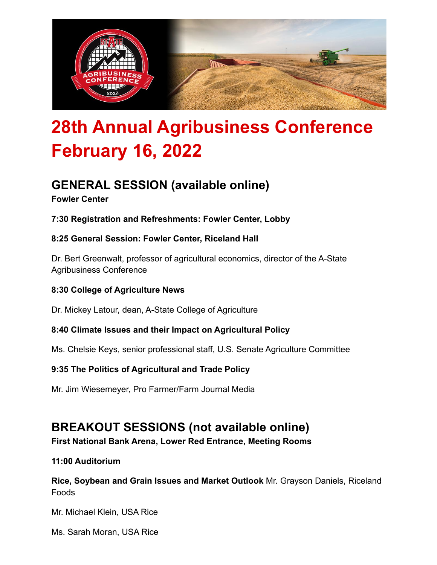

# **28th Annual Agribusiness Conference February 16, 2022**

# **GENERAL SESSION (available online)**

#### **Fowler Center**

**7:30 Registration and Refreshments: Fowler Center, Lobby**

#### **8:25 General Session: Fowler Center, Riceland Hall**

Dr. Bert Greenwalt, professor of agricultural economics, director of the A-State Agribusiness Conference

#### **8:30 College of Agriculture News**

Dr. Mickey Latour, dean, A-State College of Agriculture

#### **8:40 Climate Issues and their Impact on Agricultural Policy**

Ms. Chelsie Keys, senior professional staff, U.S. Senate Agriculture Committee

#### **9:35 The Politics of Agricultural and Trade Policy**

Mr. Jim Wiesemeyer, Pro Farmer/Farm Journal Media

### **BREAKOUT SESSIONS (not available online)**

**First National Bank Arena, Lower Red Entrance, Meeting Rooms**

#### **11:00 Auditorium**

**Rice, Soybean and Grain Issues and Market Outlook** Mr. Grayson Daniels, Riceland Foods

Mr. Michael Klein, USA Rice

Ms. Sarah Moran, USA Rice